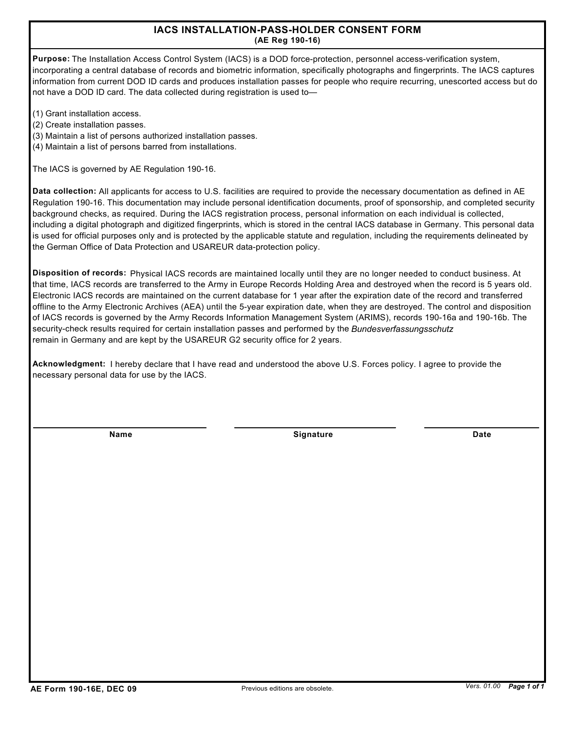## **IACS INSTALLATION-PASS-HOLDER CONSENT FORM (AE Reg 190-16)**

**Purpose:** The Installation Access Control System (IACS) is a DOD force-protection, personnel access-verification system, incorporating a central database of records and biometric information, specifically photographs and fingerprints. The IACS captures information from current DOD ID cards and produces installation passes for people who require recurring, unescorted access but do not have a DOD ID card. The data collected during registration is used to—

- (1) Grant installation access.
- (2) Create installation passes.
- (3) Maintain a list of persons authorized installation passes.
- (4) Maintain a list of persons barred from installations.

The IACS is governed by AE Regulation 190-16.

**Data collection:** All applicants for access to U.S. facilities are required to provide the necessary documentation as defined in AE Regulation 190-16. This documentation may include personal identification documents, proof of sponsorship, and completed security background checks, as required. During the IACS registration process, personal information on each individual is collected, including a digital photograph and digitized fingerprints, which is stored in the central IACS database in Germany. This personal data is used for official purposes only and is protected by the applicable statute and regulation, including the requirements delineated by the German Office of Data Protection and USAREUR data-protection policy.

**Disposition of records:** Physical IACS records are maintained locally until they are no longer needed to conduct business. At that time, IACS records are transferred to the Army in Europe Records Holding Area and destroyed when the record is 5 years old. Electronic IACS records are maintained on the current database for 1 year after the expiration date of the record and transferred offline to the Army Electronic Archives (AEA) until the 5-year expiration date, when they are destroyed. The control and disposition of IACS records is governed by the Army Records Information Management System (ARIMS), records 190-16a and 190-16b. The security-check results required for certain installation passes and performed by the *Bundesverfassungsschutz* remain in Germany and are kept by the USAREUR G2 security office for 2 years.

**Acknowledgment:** I hereby declare that I have read and understood the above U.S. Forces policy. I agree to provide the necessary personal data for use by the IACS.

**Name Signature** 

**Date**